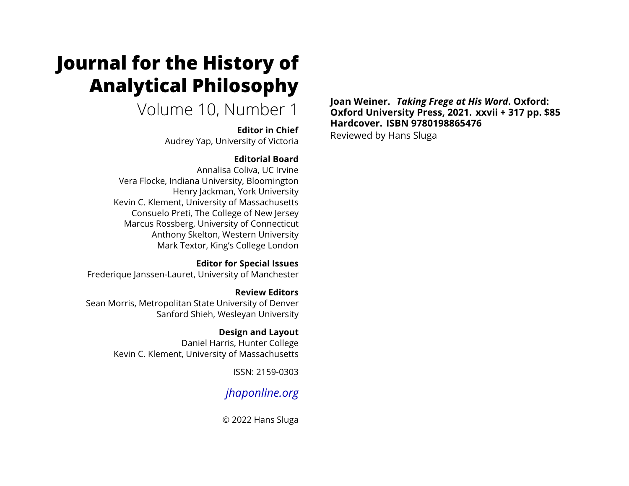# **Journal for the History of Analytical Philosophy**

Volume 10, Number 1

**Editor in Chief**

Audrey Yap, University of Victoria

#### **Editorial Board**

Annalisa Coliva, UC Irvine Vera Flocke, Indiana University, Bloomington Henry Jackman, York University Kevin C. Klement, University of Massachusetts Consuelo Preti, The College of New Jersey Marcus Rossberg, University of Connecticut Anthony Skelton, Western University Mark Textor, King's College London

#### **Editor for Special Issues**

Frederique Janssen-Lauret, University of Manchester

#### **Review Editors** Sean Morris, Metropolitan State University of Denver Sanford Shieh, Wesleyan University

### **Design and Layout**

Daniel Harris, Hunter College Kevin C. Klement, University of Massachusetts

ISSN: 2159-0303

# *[jhaponline.org](https://jhaponline.org)*

© 2022 Hans Sluga

**Joan Weiner.** *Taking Frege at His Word***. Oxford: Oxford University Press, 2021. xxvii + 317 pp. \$85 Hardcover. ISBN 9780198865476** Reviewed by Hans Sluga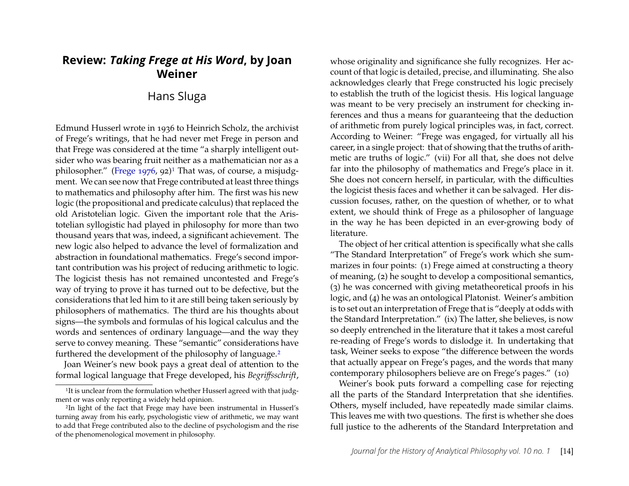## **Review:** *Taking Frege at His Word***, by Joan Weiner**

#### Hans Sluga

Edmund Husserl wrote in 1936 to Heinrich Scholz, the archivist of Frege's writings, that he had never met Frege in person and that Frege was considered at the time "a sharply intelligent outsider who was bearing fruit neither as a mathematician nor as a philosopher.<sup>"</sup> [\(Frege 1976,](#page-5-0) 92)<sup>[1](#page-1-0)</sup> That was, of course, a misjudgment. We can see now that Frege contributed at least three things to mathematics and philosophy after him. The first was his new logic (the propositional and predicate calculus) that replaced the old Aristotelian logic. Given the important role that the Aristotelian syllogistic had played in philosophy for more than two thousand years that was, indeed, a significant achievement. The new logic also helped to advance the level of formalization and abstraction in foundational mathematics. Frege's second important contribution was his project of reducing arithmetic to logic. The logicist thesis has not remained uncontested and Frege's way of trying to prove it has turned out to be defective, but the considerations that led him to it are still being taken seriously by philosophers of mathematics. The third are his thoughts about signs-the symbols and formulas of his logical calculus and the words and sentences of ordinary language—and the way they serve to convey meaning. These "semantic" considerations have furthered the development of the philosophy of language.<sup>[2](#page-1-1)</sup>

Joan Weiner's new book pays a great deal of attention to the formal logical language that Frege developed, his *Begriffsschrift*,

whose originality and significance she fully recognizes. Her account of that logic is detailed, precise, and illuminating. She also acknowledges clearly that Frege constructed his logic precisely to establish the truth of the logicist thesis. His logical language was meant to be very precisely an instrument for checking inferences and thus a means for guaranteeing that the deduction of arithmetic from purely logical principles was, in fact, correct. According to Weiner: "Frege was engaged, for virtually all his career, in a single project: that of showing that the truths of arithmetic are truths of logic." (vii) For all that, she does not delve far into the philosophy of mathematics and Frege's place in it. She does not concern herself, in particular, with the difficulties the logicist thesis faces and whether it can be salvaged. Her discussion focuses, rather, on the question of whether, or to what extent, we should think of Frege as a philosopher of language in the way he has been depicted in an ever-growing body of literature.

The object of her critical attention is specifically what she calls "The Standard Interpretation" of Frege's work which she summarizes in four points: (1) Frege aimed at constructing a theory of meaning, (2) he sought to develop a compositional semantics, (3) he was concerned with giving metatheoretical proofs in his logic, and (4) he was an ontological Platonist. Weiner's ambition is to set out an interpretation of Frege that is "deeply at odds with the Standard Interpretation." (ix) The latter, she believes, is now so deeply entrenched in the literature that it takes a most careful re-reading of Frege's words to dislodge it. In undertaking that task, Weiner seeks to expose "the difference between the words that actually appear on Frege's pages, and the words that many contemporary philosophers believe are on Frege's pages." (10)

Weiner's book puts forward a compelling case for rejecting all the parts of the Standard Interpretation that she identifies. Others, myself included, have repeatedly made similar claims. This leaves me with two questions. The first is whether she does full justice to the adherents of the Standard Interpretation and

<span id="page-1-0"></span><sup>&</sup>lt;sup>1</sup>It is unclear from the formulation whether Husserl agreed with that judgment or was only reporting a widely held opinion.

<span id="page-1-1"></span><sup>2</sup>In light of the fact that Frege may have been instrumental in Husserl's turning away from his early, psychologistic view of arithmetic, we may want to add that Frege contributed also to the decline of psychologism and the rise of the phenomenological movement in philosophy.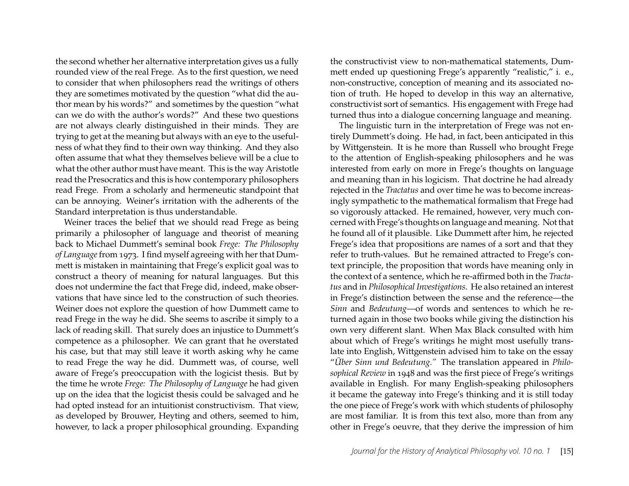the second whether her alternative interpretation gives us a fully rounded view of the real Frege. As to the first question, we need to consider that when philosophers read the writings of others they are sometimes motivated by the question "what did the author mean by his words?" and sometimes by the question "what can we do with the author's words?" And these two questions are not always clearly distinguished in their minds. They are trying to get at the meaning but always with an eye to the usefulness of what they find to their own way thinking. And they also often assume that what they themselves believe will be a clue to what the other author must have meant. This is the way Aristotle read the Presocratics and this is how contemporary philosophers read Frege. From a scholarly and hermeneutic standpoint that can be annoying. Weiner's irritation with the adherents of the Standard interpretation is thus understandable.

Weiner traces the belief that we should read Frege as being primarily a philosopher of language and theorist of meaning back to Michael Dummett's seminal book *Frege: The Philosophy of Language*from 1973. I őnd myself agreeing with her that Dummett is mistaken in maintaining that Frege's explicit goal was to construct a theory of meaning for natural languages. But this does not undermine the fact that Frege did, indeed, make observations that have since led to the construction of such theories. Weiner does not explore the question of how Dummett came to read Frege in the way he did. She seems to ascribe it simply to a lack of reading skill. That surely does an injustice to Dummett's competence as a philosopher. We can grant that he overstated his case, but that may still leave it worth asking why he came to read Frege the way he did. Dummett was, of course, well aware of Frege's preoccupation with the logicist thesis. But by the time he wrote *Frege: The Philosophy of Language* he had given up on the idea that the logicist thesis could be salvaged and he had opted instead for an intuitionist constructivism. That view, as developed by Brouwer, Heyting and others, seemed to him, however, to lack a proper philosophical grounding. Expanding

the constructivist view to non-mathematical statements, Dummett ended up questioning Frege's apparently "realistic," i. e., non-constructive, conception of meaning and its associated notion of truth. He hoped to develop in this way an alternative, constructivist sort of semantics. His engagement with Frege had turned thus into a dialogue concerning language and meaning.

The linguistic turn in the interpretation of Frege was not entirely Dummett's doing. He had, in fact, been anticipated in this by Wittgenstein. It is he more than Russell who brought Frege to the attention of English-speaking philosophers and he was interested from early on more in Frege's thoughts on language and meaning than in his logicism. That doctrine he had already rejected in the *Tractatus* and over time he was to become increasingly sympathetic to the mathematical formalism that Frege had so vigorously attacked. He remained, however, very much concerned with Frege's thoughts on language and meaning. Not that he found all of it plausible. Like Dummett after him, he rejected Frege's idea that propositions are names of a sort and that they refer to truth-values. But he remained attracted to Frege's context principle, the proposition that words have meaning only in the context of a sentence, which he re-affirmed both in the *Tractatus* and in *Philosophical Investigations*. He also retained an interest in Frege's distinction between the sense and the reference—the *Sinn* and *Bedeutung*—of words and sentences to which he returned again in those two books while giving the distinction his own very different slant. When Max Black consulted with him about which of Frege's writings he might most usefully translate into English, Wittgenstein advised him to take on the essay "Über Sinn und Bedeutung." The translation appeared in *Philo*sophical Review in 1948 and was the first piece of Frege's writings available in English. For many English-speaking philosophers it became the gateway into Frege's thinking and it is still today the one piece of Frege's work with which students of philosophy are most familiar. It is from this text also, more than from any other in Frege's oeuvre, that they derive the impression of him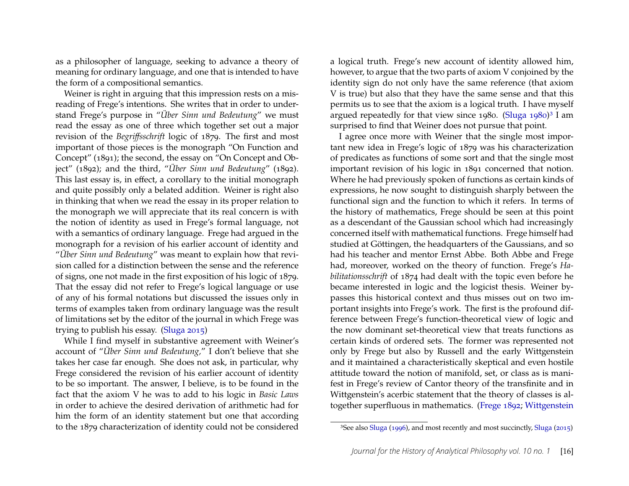as a philosopher of language, seeking to advance a theory of meaning for ordinary language, and one that is intended to have the form of a compositional semantics.

Weiner is right in arguing that this impression rests on a misreading of Frege's intentions. She writes that in order to understand Frege's purpose in "*Über Sinn und Bedeutung*" we must read the essay as one of three which together set out a major revision of the *Begriffsschrift* logic of 1879. The first and most important of those pieces is the monograph "On Function and Concept" (1891); the second, the essay on "On Concept and Object" (1892); and the third, "*Über Sinn und Bedeutung*" (1892). This last essay is, in effect, a corollary to the initial monograph and quite possibly only a belated addition. Weiner is right also in thinking that when we read the essay in its proper relation to the monograph we will appreciate that its real concern is with the notion of identity as used in Frege's formal language, not with a semantics of ordinary language. Frege had argued in the monograph for a revision of his earlier account of identity and *"Über Sinn und Bedeutung"* was meant to explain how that revision called for a distinction between the sense and the reference of signs, one not made in the first exposition of his logic of 1879. That the essay did not refer to Frege's logical language or use of any of his formal notations but discussed the issues only in terms of examples taken from ordinary language was the result of limitations set by the editor of the journal in which Frege was trying to publish his essay. [\(Sluga 2015\)](#page-5-1)

While I find myself in substantive agreement with Weiner's account of "*Über Sinn und Bedeutung*," I don't believe that she takes her case far enough. She does not ask, in particular, why Frege considered the revision of his earlier account of identity to be so important. The answer, I believe, is to be found in the fact that the axiom V he was to add to his logic in *Basic Laws* in order to achieve the desired derivation of arithmetic had for him the form of an identity statement but one that according to the 1879 characterization of identity could not be considered

a logical truth. Frege's new account of identity allowed him, however, to argue that the two parts of axiom V conjoined by the identity sign do not only have the same reference (that axiom V is true) but also that they have the same sense and that this permits us to see that the axiom is a logical truth. I have myself argued repeatedly for that view since 1980. [\(Sluga 1980\)](#page-5-2)<sup>[3](#page-3-0)</sup> I am surprised to find that Weiner does not pursue that point.

I agree once more with Weiner that the single most important new idea in Frege's logic of 1879 was his characterization of predicates as functions of some sort and that the single most important revision of his logic in 1891 concerned that notion. Where he had previously spoken of functions as certain kinds of expressions, he now sought to distinguish sharply between the functional sign and the function to which it refers. In terms of the history of mathematics, Frege should be seen at this point as a descendant of the Gaussian school which had increasingly concerned itself with mathematical functions. Frege himself had studied at Göttingen, the headquarters of the Gaussians, and so had his teacher and mentor Ernst Abbe. Both Abbe and Frege had, moreover, worked on the theory of function. Frege's *Habilitationsschrift* of 1874 had dealt with the topic even before he became interested in logic and the logicist thesis. Weiner bypasses this historical context and thus misses out on two important insights into Frege's work. The first is the profound difference between Frege's function-theoretical view of logic and the now dominant set-theoretical view that treats functions as certain kinds of ordered sets. The former was represented not only by Frege but also by Russell and the early Wittgenstein and it maintained a characteristically skeptical and even hostile attitude toward the notion of manifold, set, or class as is manifest in Frege's review of Cantor theory of the transfinite and in Wittgenstein's acerbic statement that the theory of classes is al-together superfluous in mathematics. [\(Frege 1892;](#page-5-3) [Wittgenstein](#page-5-4)

<span id="page-3-0"></span><sup>3</sup>See also [Sluga](#page-5-5) [\(1996\)](#page-5-5), and most recently and most succinctly, [Sluga](#page-5-1) [\(2015\)](#page-5-1)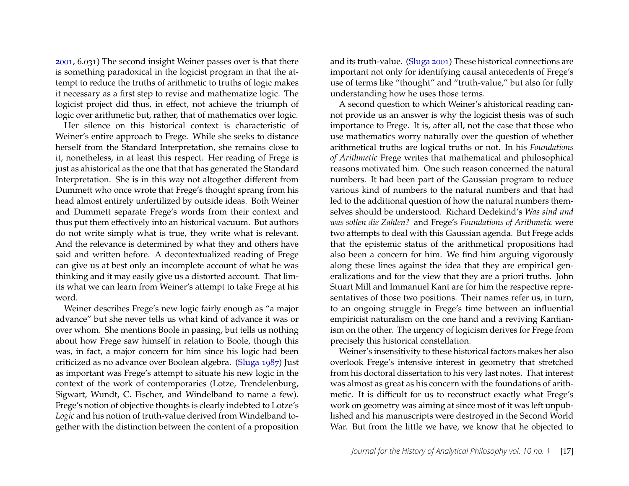[2001,](#page-5-4) 6.031) The second insight Weiner passes over is that there is something paradoxical in the logicist program in that the attempt to reduce the truths of arithmetic to truths of logic makes it necessary as a first step to revise and mathematize logic. The logicist project did thus, in effect, not achieve the triumph of logic over arithmetic but, rather, that of mathematics over logic.

Her silence on this historical context is characteristic of Weiner's entire approach to Frege. While she seeks to distance herself from the Standard Interpretation, she remains close to it, nonetheless, in at least this respect. Her reading of Frege is just as ahistorical as the one that that has generated the Standard Interpretation. She is in this way not altogether different from Dummett who once wrote that Frege's thought sprang from his head almost entirely unfertilized by outside ideas. Both Weiner and Dummett separate Frege's words from their context and thus put them effectively into an historical vacuum. But authors do not write simply what is true, they write what is relevant. And the relevance is determined by what they and others have said and written before. A decontextualized reading of Frege can give us at best only an incomplete account of what he was thinking and it may easily give us a distorted account. That limits what we can learn from Weiner's attempt to take Frege at his word.

Weiner describes Frege's new logic fairly enough as "a major advance" but she never tells us what kind of advance it was or over whom. She mentions Boole in passing, but tells us nothing about how Frege saw himself in relation to Boole, though this was, in fact, a major concern for him since his logic had been criticized as no advance over Boolean algebra. [\(Sluga 1987\)](#page-5-6) Just as important was Frege's attempt to situate his new logic in the context of the work of contemporaries (Lotze, Trendelenburg, Sigwart, Wundt, C. Fischer, and Windelband to name a few). Frege's notion of objective thoughts is clearly indebted to Lotze's *Logic* and his notion of truth-value derived from Windelband together with the distinction between the content of a proposition and its truth-value. [\(Sluga 2001\)](#page-5-7) These historical connections are important not only for identifying causal antecedents of Frege's use of terms like "thought" and "truth-value," but also for fully understanding how he uses those terms.

A second question to which Weiner's ahistorical reading cannot provide us an answer is why the logicist thesis was of such importance to Frege. It is, after all, not the case that those who use mathematics worry naturally over the question of whether arithmetical truths are logical truths or not. In his *Foundations of Arithmetic* Frege writes that mathematical and philosophical reasons motivated him. One such reason concerned the natural numbers. It had been part of the Gaussian program to reduce various kind of numbers to the natural numbers and that had led to the additional question of how the natural numbers themselves should be understood. Richard Dedekind's *Was sind und was sollen die Zahlen?* and Frege's *Foundations of Arithmetic* were two attempts to deal with this Gaussian agenda. But Frege adds that the epistemic status of the arithmetical propositions had also been a concern for him. We find him arguing vigorously along these lines against the idea that they are empirical generalizations and for the view that they are a priori truths. John Stuart Mill and Immanuel Kant are for him the respective representatives of those two positions. Their names refer us, in turn, to an ongoing struggle in Frege's time between an influential empiricist naturalism on the one hand and a reviving Kantianism on the other. The urgency of logicism derives for Frege from precisely this historical constellation.

Weiner's insensitivity to these historical factors makes her also overlook Frege's intensive interest in geometry that stretched from his doctoral dissertation to his very last notes. That interest was almost as great as his concern with the foundations of arithmetic. It is difficult for us to reconstruct exactly what Frege's work on geometry was aiming at since most of it was left unpublished and his manuscripts were destroyed in the Second World War. But from the little we have, we know that he objected to